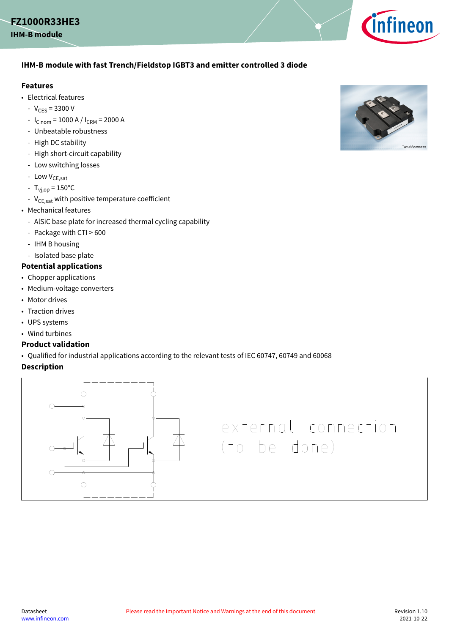### <span id="page-0-0"></span>**FZ1000R33HE3**



### **IHM-B module with fast Trench/Fieldstop IGBT3 and emitter controlled 3 diode**

#### **Features**

- Electrical features
	- $-V_{CES} = 3300 V$
	- $I_{C nom}$  = 1000 A /  $I_{CRM}$  = 2000 A
	- Unbeatable robustness
	- High DC stability
	- High short-circuit capability
	- Low switching losses
	- Low  $V_{CE,sat}$
	- $T_{\text{v}_1, \text{op}} = 150^{\circ} \text{C}$
	- $V_{CE,sat}$  with positive temperature coefficient
- Mechanical features
	- AlSiC base plate for increased thermal cycling capability
	- Package with CTI > 600
	- IHM B housing
	- Isolated base plate

### **Potential applications**

- Chopper applications
- Medium-voltage converters
- Motor drives
- Traction drives
- UPS systems
- Wind turbines

#### **Product validation**

• Qualified for industrial applications according to the relevant tests of IEC 60747, 60749 and 60068

#### **Description**



# external connection (to be done)

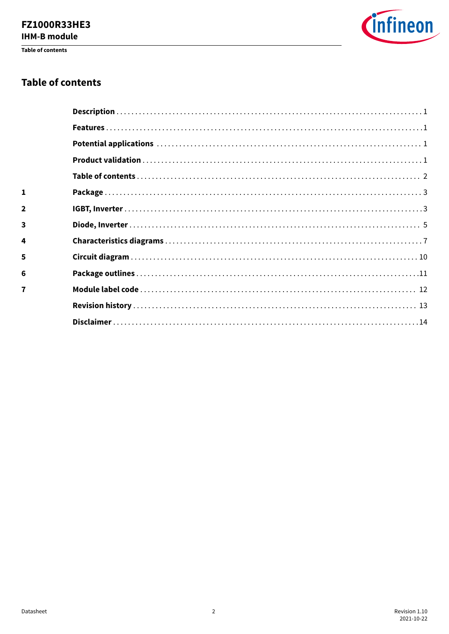# **FZ1000R33HE3**

**IHM-B module** 

Table of contents



### **Table of contents**

| $\mathbf{1}$   |  |
|----------------|--|
| $\mathbf{2}$   |  |
| 3              |  |
| 4              |  |
| 5              |  |
| 6              |  |
| $\overline{7}$ |  |
|                |  |
|                |  |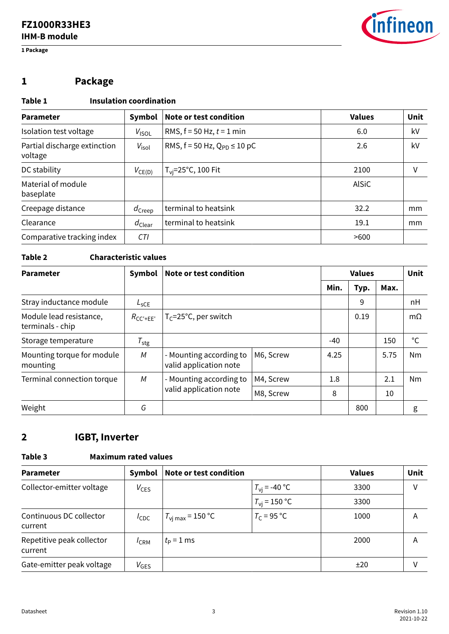<span id="page-2-0"></span>**1 Package**



## **1 Package**

### **Table 1 Insulation coordination**

| <b>Parameter</b>                        | Symbol             | Note or test condition               | <b>Values</b> | Unit |
|-----------------------------------------|--------------------|--------------------------------------|---------------|------|
| Isolation test voltage                  | V <sub>ISOL</sub>  | RMS, $f = 50$ Hz, $t = 1$ min        | 6.0           | kV   |
| Partial discharge extinction<br>voltage | $V_{\text{isol}}$  | RMS, $f = 50$ Hz, $Q_{PD} \le 10$ pC | 2.6           | kV   |
| DC stability                            | $V_{CE(D)}$        | $T_{\rm vi}$ =25°C, 100 Fit          | 2100          | ٧    |
| Material of module<br>baseplate         |                    |                                      | <b>AlSiC</b>  |      |
| Creepage distance                       | $d_{\text{Creep}}$ | terminal to heatsink                 | 32.2          | mm   |
| Clearance                               | $d_{\text{Clear}}$ | terminal to heatsink                 | 19.1          | mm   |
| Comparative tracking index              | CTI                |                                      | >600          |      |

#### **Table 2 Characteristic values**

| <b>Parameter</b>                            | Symbol           | Note or test condition                            |           |       | <b>Values</b> |      |           |
|---------------------------------------------|------------------|---------------------------------------------------|-----------|-------|---------------|------|-----------|
|                                             |                  |                                                   |           | Min.  | Typ.          | Max. |           |
| Stray inductance module                     | $L_{SCE}$        |                                                   |           |       | 9             |      | nH        |
| Module lead resistance,<br>terminals - chip | $R_{CC'+EE'}$    | $T_C = 25^{\circ}C$ , per switch                  |           |       | 0.19          |      | $m\Omega$ |
| Storage temperature                         | $T_{\text{stg}}$ |                                                   |           | $-40$ |               | 150  | °C        |
| Mounting torque for module<br>mounting      | M                | - Mounting according to<br>valid application note | M6, Screw | 4.25  |               | 5.75 | <b>Nm</b> |
| Terminal connection torque                  | M                | - Mounting according to                           | M4, Screw | 1.8   |               | 2.1  | <b>Nm</b> |
|                                             |                  | valid application note                            | M8, Screw | 8     |               | 10   |           |
| Weight                                      | G                |                                                   |           |       | 800           |      | g         |

### **2 IGBT, Inverter**

### **Table 3 Maximum rated values**

| <b>Parameter</b>                     | Symbol           | <b>Note or test condition</b> |                       | <b>Values</b> | Unit |
|--------------------------------------|------------------|-------------------------------|-----------------------|---------------|------|
| Collector-emitter voltage            | $V_{CES}$        |                               | $T_{\rm vi}$ = -40 °C | 3300          | ٧    |
|                                      |                  |                               | $T_{\rm vi}$ = 150 °C | 3300          |      |
| Continuous DC collector<br>current   | $I_{\text{CDC}}$ | $T_{\text{vi max}}$ = 150 °C  | $T_c$ = 95 °C         | 1000          | A    |
| Repetitive peak collector<br>current | $I_{CRM}$        | $t_{\rm P}$ = 1 ms            |                       | 2000          | Α    |
| Gate-emitter peak voltage            | $V_{\text{GES}}$ |                               |                       | ±20           | ٧    |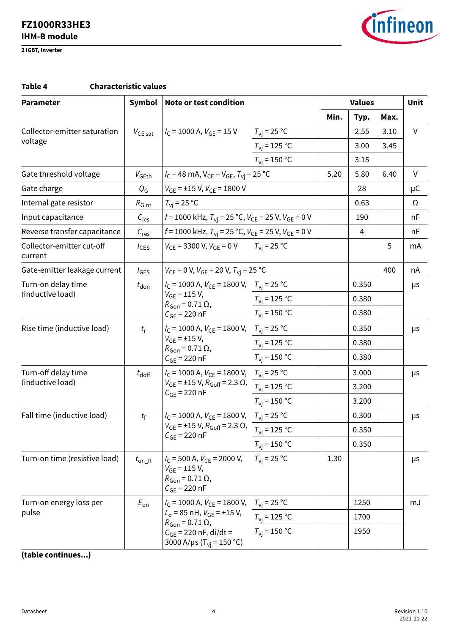**2 IGBT, Inverter**



#### **Table 4 Characteristic values**

| <b>Parameter</b>                     | Symbol                                                            | Note or test condition                                                                                                  |                                         | <b>Values</b> |       |      | <b>Unit</b> |
|--------------------------------------|-------------------------------------------------------------------|-------------------------------------------------------------------------------------------------------------------------|-----------------------------------------|---------------|-------|------|-------------|
|                                      |                                                                   |                                                                                                                         |                                         | Min.          | Typ.  | Max. |             |
| Collector-emitter saturation         | $V_{CE\, sat}$                                                    | $I_C$ = 1000 A, $V_{GE}$ = 15 V                                                                                         | $T_{\rm{VI}}$ = 25 °C                   |               | 2.55  | 3.10 | $\vee$      |
| voltage                              |                                                                   |                                                                                                                         | $T_{\rm vi}$ = 125 °C                   |               | 3.00  | 3.45 |             |
|                                      |                                                                   |                                                                                                                         | $T_{\rm vi}$ = 150 °C                   |               | 3.15  |      |             |
| Gate threshold voltage               | $V_{\mathsf{GEth}}$                                               | $I_C = 48$ mA, $V_{CE} = V_{GE}$ , $T_{vi} = 25$ °C                                                                     |                                         | 5.20          | 5.80  | 6.40 | V           |
| Gate charge                          | $Q_{\mathsf{G}}$                                                  | $V_{GE}$ = ±15 V, $V_{CE}$ = 1800 V                                                                                     |                                         |               | 28    |      | μC          |
| Internal gate resistor               | $R_{\text{Gint}}$                                                 | $T_{\rm vi}$ = 25 °C                                                                                                    |                                         |               | 0.63  |      | Ω           |
| Input capacitance                    | $C_{\text{ies}}$                                                  | $f = 1000$ kHz, $T_{\text{vi}} = 25$ °C, $V_{\text{CE}} = 25$ V, $V_{\text{GE}} = 0$ V                                  |                                         |               | 190   |      | nF          |
| Reverse transfer capacitance         | $C_{res}$                                                         | $f = 1000$ kHz, $T_{\text{vi}} = 25$ °C, $V_{\text{CE}} = 25$ V, $V_{\text{GE}} = 0$ V                                  |                                         |               | 4     |      | nF          |
| Collector-emitter cut-off<br>current | $I_{CES}$                                                         | $V_{CF}$ = 3300 V, $V_{GF}$ = 0 V                                                                                       | $T_{\rm vi}$ = 25 °C                    |               |       | 5    | mA          |
| Gate-emitter leakage current         | $I_{\text{GES}}$                                                  | $V_{CE}$ = 0 V, $V_{GE}$ = 20 V, $T_{vi}$ = 25 °C                                                                       |                                         |               |       | 400  | nA          |
| Turn-on delay time                   | $t_{\text{don}}$                                                  | $I_C = 1000$ A, $V_{CE} = 1800$ V, $T_{Vj} = 25$ °C                                                                     |                                         |               | 0.350 |      | μs          |
| (inductive load)                     |                                                                   | $V_{GE}$ = ±15 V,<br>$R_{\text{Gon}} = 0.71 \Omega$ ,<br>$C_{GE}$ = 220 nF                                              | $T_{\rm\scriptscriptstyle VI}$ = 125 °C |               | 0.380 |      |             |
|                                      |                                                                   |                                                                                                                         | $T_{\rm vi}$ = 150 °C                   |               | 0.380 |      |             |
| Rise time (inductive load)           | $t_{r}$                                                           | $I_{\rm C}$ = 1000 A, $V_{\rm CF}$ = 1800 V,<br>$V_{GE}$ = ±15 V,<br>$R_{\text{Gon}} = 0.71 \Omega$                     | $T_{\rm{vi}}$ = 25 °C                   |               | 0.350 |      | μs          |
|                                      |                                                                   |                                                                                                                         | $T_{\rm{vi}}$ = 125 °C                  |               | 0.380 |      |             |
|                                      |                                                                   | $C_{GE}$ = 220 nF                                                                                                       | $T_{\rm{vj}}$ = 150 °C                  |               | 0.380 |      |             |
| Turn-off delay time                  | $I_{\rm C}$ = 1000 A, $V_{\rm CF}$ = 1800 V,<br>$t_{\text{doff}}$ |                                                                                                                         | $T_{\rm{vi}}$ = 25 °C                   |               | 3.000 |      | μs          |
| (inductive load)                     |                                                                   | $V_{GE}$ = ±15 V, $R_{Goff}$ = 2.3 $\Omega$ ,<br>$C_{GE}$ = 220 nF                                                      | $T_{\rm{vj}}$ = 125 °C                  |               | 3.200 |      |             |
|                                      |                                                                   |                                                                                                                         | $T_{\rm vi}$ = 150 °C                   |               | 3.200 |      |             |
| Fall time (inductive load)           | $t_{\rm f}$                                                       | $I_{\rm C}$ = 1000 A, $V_{\rm CE}$ = 1800 V,                                                                            | $T_{\rm{vi}}$ = 25 °C                   |               | 0.300 |      | μs          |
|                                      |                                                                   | $V_{GF}$ = ±15 V, $R_{Goff}$ = 2.3 $\Omega$ ,                                                                           | $T_{\text{vj}}$ = 125 °C                |               | 0.350 |      |             |
|                                      |                                                                   | $C_{GE}$ = 220 nF                                                                                                       | $T_{\text{vi}}$ = 150 °C                |               | 0.350 |      |             |
| Turn-on time (resistive load)        | $t_{on_R}$                                                        | $I_{\rm C}$ = 500 A, $V_{\rm CE}$ = 2000 V,<br>$V_{GF}$ = ±15 V,<br>$R_{\text{Gon}} = 0.71 \Omega$<br>$C_{GE}$ = 220 nF | $T_{\rm{vi}}$ = 25 °C                   | 1.30          |       |      | μs          |
| Turn-on energy loss per              | $E_{\rm on}$                                                      | $I_{\rm C}$ = 1000 A, $V_{\rm CE}$ = 1800 V,                                                                            | $T_{\rm vi}$ = 25 °C                    |               | 1250  |      | mJ          |
| pulse                                |                                                                   | $L_{\sigma}$ = 85 nH, $V_{GE}$ = ±15 V,<br>$R_{\rm Gon} = 0.71 \Omega$ ,                                                | $T_{\rm vi}$ = 125 °C                   |               | 1700  |      |             |
|                                      |                                                                   | $C_{GE}$ = 220 nF, di/dt =<br>3000 A/µs (T <sub>vi</sub> = 150 °C)                                                      | $T_{\rm{vj}}$ = 150 °C                  |               | 1950  |      |             |

**(table continues...)**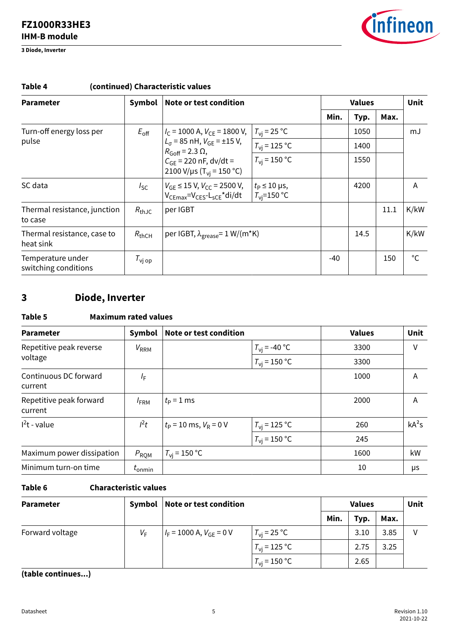<span id="page-4-0"></span>**3 Diode, Inverter**



| <b>Parameter</b>                          | Symbol                                                       | Note or test condition                                                              |                                                 |       | <b>Values</b> |      |      |
|-------------------------------------------|--------------------------------------------------------------|-------------------------------------------------------------------------------------|-------------------------------------------------|-------|---------------|------|------|
|                                           |                                                              |                                                                                     |                                                 |       |               | Max. |      |
| Turn-off energy loss per                  | $E_{\rm off}$                                                | $I_{\rm C}$ = 1000 A, $V_{\rm CE}$ = 1800 V,                                        | $T_{\rm vi}$ = 25 °C                            |       | 1050          |      | mJ   |
| pulse                                     |                                                              | $L_{\sigma}$ = 85 nH, $V_{GF}$ = ±15 V,<br>$R_{Goff}$ = 2.3 $\Omega$ ,              | $T_{\text{vi}}$ = 125 °C                        |       | 1400          |      |      |
|                                           | $C_{GF}$ = 220 nF, dv/dt =<br>2100 V/µs ( $T_{vi}$ = 150 °C) | $T_{\rm vi}$ = 150 °C                                                               |                                                 | 1550  |               |      |      |
| SC data                                   | $I_{SC}$                                                     | $V_{GE}$ $\leq$ 15 V, $V_{CC}$ = 2500 V,<br>$V_{CFmax} = V_{CFS} - L_{SCF} * di/dt$ | $t_P \leq 10 \,\mu s$ ,<br>$T_{\rm vi}$ =150 °C |       | 4200          |      | A    |
| Thermal resistance, junction<br>to case   | $R_{\text{thJC}}$                                            | per IGBT                                                                            |                                                 |       |               | 11.1 | K/kW |
| Thermal resistance, case to<br>heat sink  | $R_{thCH}$                                                   | per IGBT, $\lambda_{\text{grease}} = 1 \text{ W/(m*K)}$                             |                                                 |       | 14.5          |      | K/kW |
| Temperature under<br>switching conditions | $T_{\mathsf{v} \mathsf{op}}$                                 |                                                                                     |                                                 | $-40$ |               | 150  | °C   |

### **Table 4 (continued) Characteristic values**

### **3 Diode, Inverter**

### **Table 5 Maximum rated values**

| Symbol<br><b>Parameter</b>         |                    | Note or test condition     |                       | <b>Values</b> | Unit    |
|------------------------------------|--------------------|----------------------------|-----------------------|---------------|---------|
| Repetitive peak reverse            | $V_{RRM}$          |                            | $T_{\rm vi}$ = -40 °C | 3300          | V       |
| voltage                            |                    |                            | $T_{\rm vi}$ = 150 °C | 3300          |         |
| Continuous DC forward<br>current   | /F                 |                            |                       | 1000          | A       |
| Repetitive peak forward<br>current | $I_{\text{FRM}}$   | $t_{\rm P}$ = 1 ms         |                       | 2000          | A       |
| $12t$ - value                      | $l^2t$             | $t_P$ = 10 ms, $V_R$ = 0 V | $T_{\rm vj}$ = 125 °C | 260           | $kA^2s$ |
|                                    |                    |                            | $T_{\rm vi}$ = 150 °C | 245           |         |
| Maximum power dissipation          | $P_{\rm RQM}$      | $T_{\rm vi}$ = 150 °C      |                       | 1600          | kW      |
| Minimum turn-on time               | $t_{\text{onmin}}$ |                            |                       | 10            | μs      |

### **Table 6 Characteristic values**

| <b>Parameter</b> | Symbol      | Note or test condition         |                       | <b>Values</b> |      |      | Unit |
|------------------|-------------|--------------------------------|-----------------------|---------------|------|------|------|
|                  |             |                                |                       | Min.          | Typ. | Max. |      |
| Forward voltage  | $V_{\rm F}$ | $I_F = 1000$ A, $V_{GE} = 0$ V | $T_{\rm vi}$ = 25 °C  |               | 3.10 | 3.85 | ν    |
|                  |             |                                | $T_{\rm vi}$ = 125 °C |               | 2.75 | 3.25 |      |
|                  |             |                                | $T_{\rm vi}$ = 150 °C |               | 2.65 |      |      |

**(table continues...)**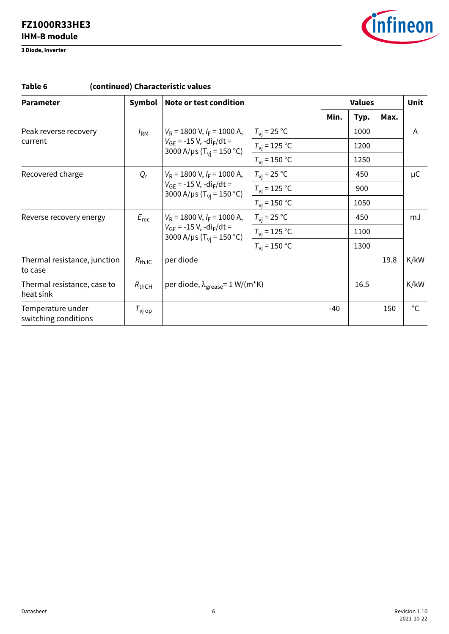**3 Diode, Inverter**



| <b>Parameter</b>                          | Symbol                                                                                                                                  | Note or test condition                                                                                              |                       |              | <b>Values</b> |      |              |
|-------------------------------------------|-----------------------------------------------------------------------------------------------------------------------------------------|---------------------------------------------------------------------------------------------------------------------|-----------------------|--------------|---------------|------|--------------|
|                                           |                                                                                                                                         |                                                                                                                     |                       | Min.<br>Typ. |               | Max. |              |
| Peak reverse recovery                     | $I_{\rm RM}$                                                                                                                            | $V_R$ = 1800 V, $I_F$ = 1000 A,                                                                                     | $T_{\rm vi}$ = 25 °C  |              | 1000          |      | A            |
| current                                   |                                                                                                                                         | $V_{GF}$ = -15 V, -di <sub>F</sub> /dt =<br>3000 A/µs ( $T_{\text{vi}}$ = 150 °C)                                   | $T_{\rm vi}$ = 125 °C |              | 1200          |      |              |
|                                           |                                                                                                                                         |                                                                                                                     | $T_{\rm vi}$ = 150 °C |              | 1250          |      |              |
| Recovered charge                          | $Q_{r}$                                                                                                                                 | $V_R$ = 1800 V, $I_F$ = 1000 A,<br>$V_{GF}$ = -15 V, -di <sub>F</sub> /dt =<br>3000 A/µs (T <sub>vi</sub> = 150 °C) | $T_{\rm vi}$ = 25 °C  |              | 450           |      | $\mu$ C      |
|                                           |                                                                                                                                         |                                                                                                                     | $T_{\rm vj}$ = 125 °C |              | 900           |      |              |
|                                           |                                                                                                                                         |                                                                                                                     | $T_{\rm vi}$ = 150 °C |              | 1050          |      |              |
| Reverse recovery energy                   | $V_R$ = 1800 V, $I_F$ = 1000 A,<br>$E_{\text{rec}}$<br>$V_{GF}$ = -15 V, -di <sub>F</sub> /dt =<br>3000 A/µs (T <sub>vi</sub> = 150 °C) | $T_{\rm vi}$ = 25 °C                                                                                                |                       | 450          |               | mJ   |              |
|                                           |                                                                                                                                         |                                                                                                                     | $T_{\rm vj}$ = 125 °C |              | 1100          |      |              |
|                                           |                                                                                                                                         |                                                                                                                     | $T_{\rm vi}$ = 150 °C |              | 1300          |      |              |
| Thermal resistance, junction<br>to case   | $R_{th,IC}$                                                                                                                             | per diode                                                                                                           |                       |              |               | 19.8 | K/kW         |
| Thermal resistance, case to<br>heat sink  | $R_{thCH}$                                                                                                                              | per diode, $\lambda_{\text{grease}} = 1 \text{ W/(m*K)}$                                                            |                       |              | 16.5          |      | K/kW         |
| Temperature under<br>switching conditions | $T_{\text{vj op}}$                                                                                                                      |                                                                                                                     |                       | $-40$        |               | 150  | $^{\circ}$ C |

### **Table 6 (continued) Characteristic values**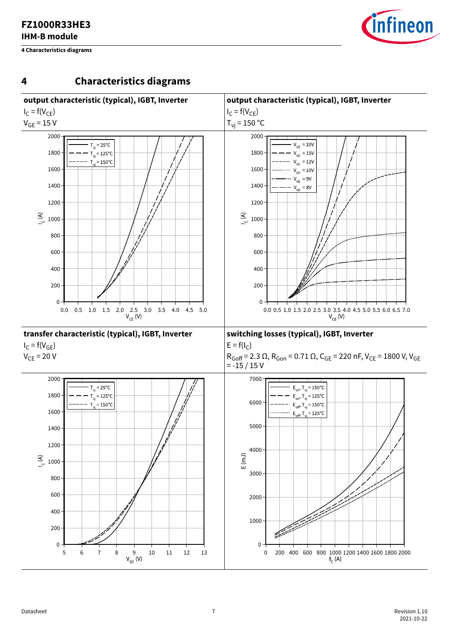<span id="page-6-0"></span>**4 Characteristics diagrams**



### **4 Characteristics diagrams**

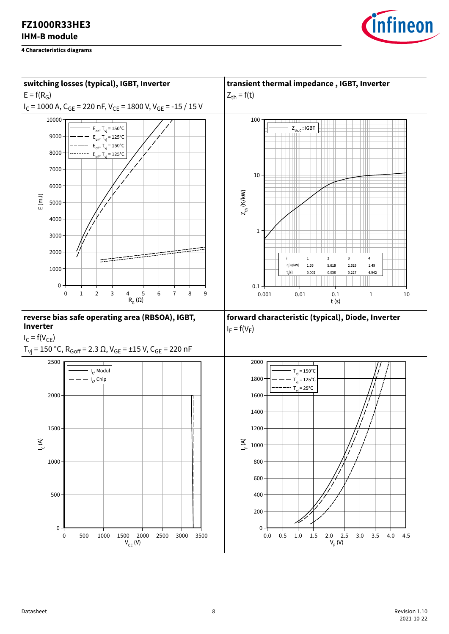

*infineon*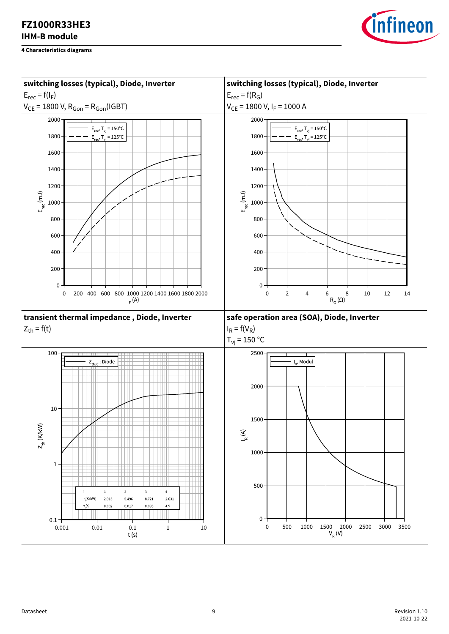

**FZ1000R33HE3**

*infineon*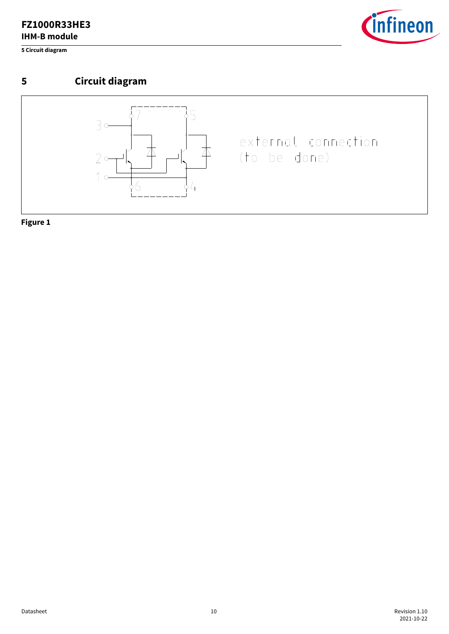<span id="page-9-0"></span>**5 Circuit diagram**



# **5 Circuit diagram**



**Figure 1**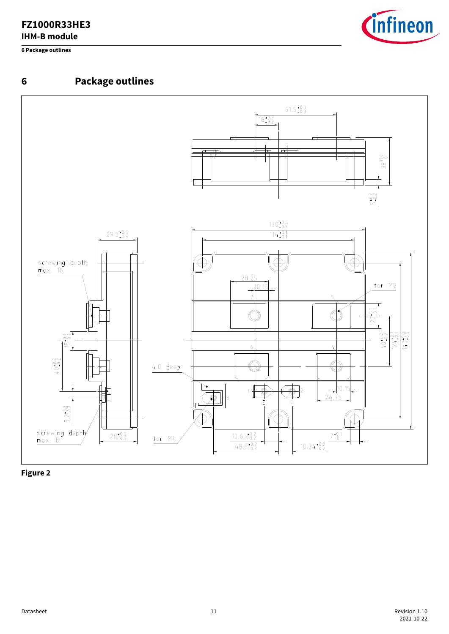<span id="page-10-0"></span>**6 Package outlines**







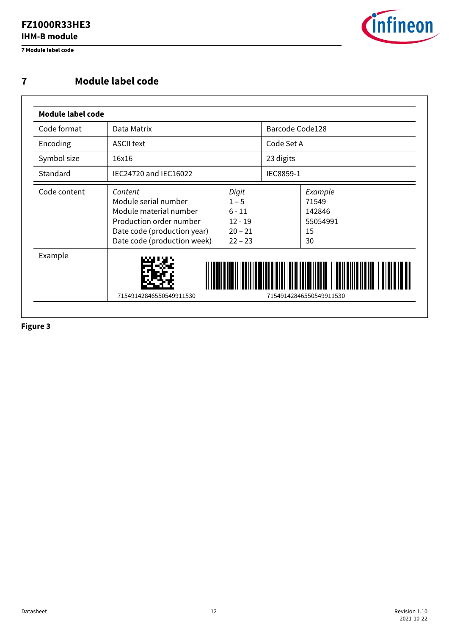<span id="page-11-0"></span>**7 Module label code**



### **7 Module label code**

| Code format  | Data Matrix                                                                                                                                        |                                                                     | Barcode Code128 |                                                    |
|--------------|----------------------------------------------------------------------------------------------------------------------------------------------------|---------------------------------------------------------------------|-----------------|----------------------------------------------------|
| Encoding     | <b>ASCII text</b>                                                                                                                                  |                                                                     | Code Set A      |                                                    |
| Symbol size  | 16x16                                                                                                                                              |                                                                     | 23 digits       |                                                    |
| Standard     | IEC24720 and IEC16022                                                                                                                              |                                                                     | IEC8859-1       |                                                    |
| Code content | Content<br>Module serial number<br>Module material number<br>Production order number<br>Date code (production year)<br>Date code (production week) | Digit<br>$1 - 5$<br>$6 - 11$<br>$12 - 19$<br>$20 - 21$<br>$22 - 23$ |                 | Example<br>71549<br>142846<br>55054991<br>15<br>30 |
| Example      | 71549142846550549911530                                                                                                                            |                                                                     |                 | 71549142846550549911530                            |

**Figure 3**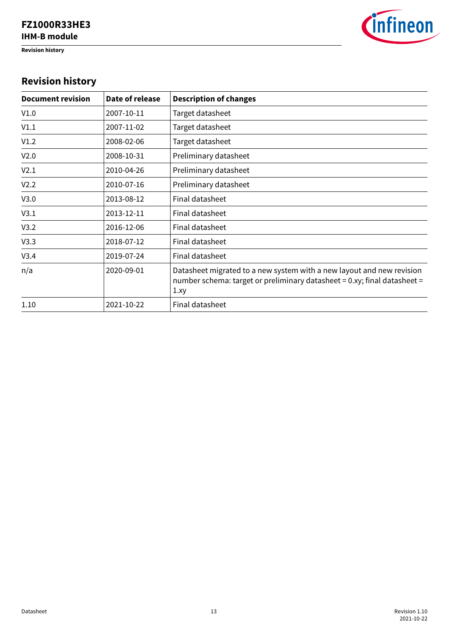<span id="page-12-0"></span>**Revision history**



# **Revision history**

| <b>Document revision</b> | Date of release | <b>Description of changes</b>                                                                                                                            |
|--------------------------|-----------------|----------------------------------------------------------------------------------------------------------------------------------------------------------|
| V1.0                     | 2007-10-11      | Target datasheet                                                                                                                                         |
| V1.1                     | 2007-11-02      | Target datasheet                                                                                                                                         |
| V1.2                     | 2008-02-06      | Target datasheet                                                                                                                                         |
| V <sub>2.0</sub>         | 2008-10-31      | Preliminary datasheet                                                                                                                                    |
| V2.1                     | 2010-04-26      | Preliminary datasheet                                                                                                                                    |
| V <sub>2.2</sub>         | 2010-07-16      | Preliminary datasheet                                                                                                                                    |
| V3.0                     | 2013-08-12      | Final datasheet                                                                                                                                          |
| V3.1                     | 2013-12-11      | Final datasheet                                                                                                                                          |
| V3.2                     | 2016-12-06      | Final datasheet                                                                                                                                          |
| V3.3                     | 2018-07-12      | Final datasheet                                                                                                                                          |
| V3.4                     | 2019-07-24      | Final datasheet                                                                                                                                          |
| n/a                      | 2020-09-01      | Datasheet migrated to a new system with a new layout and new revision<br>number schema: target or preliminary datasheet = 0.xy; final datasheet =<br>1xy |
| 1.10                     | 2021-10-22      | Final datasheet                                                                                                                                          |